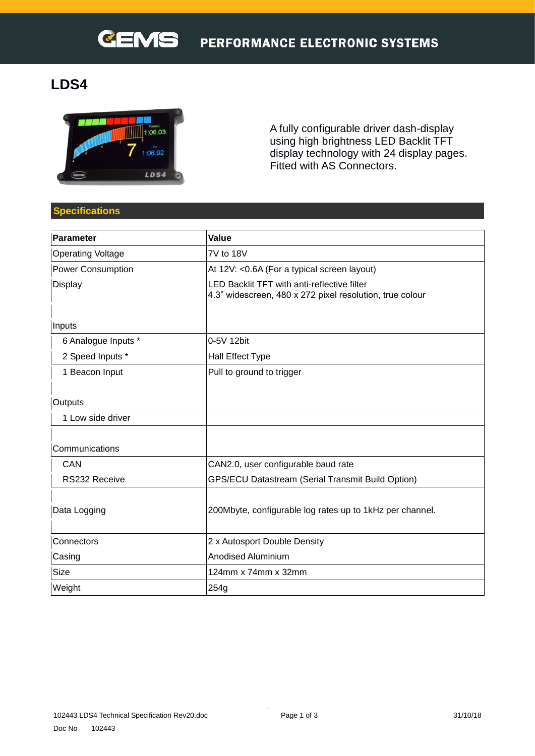# **LDS4**



A fully configurable driver dash-display using high brightness LED Backlit TFT display technology with 24 display pages. Fitted with AS Connectors.

# **Specifications**

| Parameter                | Value                                                                                                   |  |
|--------------------------|---------------------------------------------------------------------------------------------------------|--|
| <b>Operating Voltage</b> | 7V to 18V                                                                                               |  |
| <b>Power Consumption</b> | At 12V: < 0.6A (For a typical screen layout)                                                            |  |
| Display                  | LED Backlit TFT with anti-reflective filter<br>4.3" widescreen, 480 x 272 pixel resolution, true colour |  |
|                          |                                                                                                         |  |
| Inputs                   |                                                                                                         |  |
| 6 Analogue Inputs *      | 0-5V 12bit                                                                                              |  |
| 2 Speed Inputs *         | Hall Effect Type                                                                                        |  |
| 1 Beacon Input           | Pull to ground to trigger                                                                               |  |
| Outputs                  |                                                                                                         |  |
| 1 Low side driver        |                                                                                                         |  |
| Communications           |                                                                                                         |  |
| CAN                      | CAN2.0, user configurable baud rate                                                                     |  |
| RS232 Receive            | <b>GPS/ECU Datastream (Serial Transmit Build Option)</b>                                                |  |
| Data Logging             | 200Mbyte, configurable log rates up to 1kHz per channel.                                                |  |
| Connectors               | 2 x Autosport Double Density                                                                            |  |
| Casing                   | <b>Anodised Aluminium</b>                                                                               |  |
| Size                     | 124mm x 74mm x 32mm                                                                                     |  |
| Weight                   | 254g                                                                                                    |  |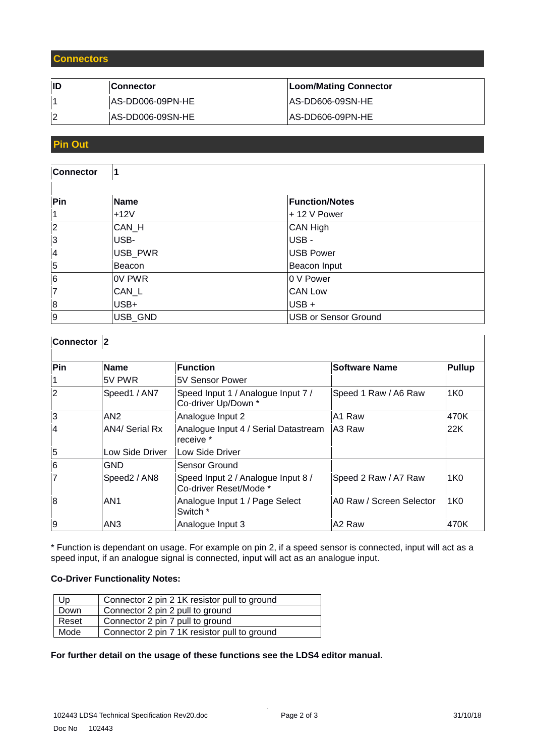#### **Connectors**

| <b>Connector</b> | Loom/Mating Connector    |
|------------------|--------------------------|
| AS-DD006-09PN-HE | <b>IAS-DD606-09SN-HE</b> |
| AS-DD006-09SN-HE | IAS-DD606-09PN-HE        |

#### **Pin Out**

| <b>Connector</b> | $\mathbf 1$ |                             |
|------------------|-------------|-----------------------------|
| Pin              | Name        | <b>Function/Notes</b>       |
| 1                | $+12V$      | + 12 V Power                |
| 2                | CAN_H       | CAN High                    |
| 3                | USB-        | USB-                        |
| $\overline{4}$   | USB_PWR     | USB Power                   |
| $\overline{5}$   | Beacon      | Beacon Input                |
| $\overline{6}$   | OV PWR      | 0 V Power                   |
| $\overline{7}$   | CAN_L       | <b>CAN Low</b>              |
| 8                | USB+        | USB +                       |
| 9                | USB GND     | <b>USB or Sensor Ground</b> |

# **Connector 2**

| Pin             | Name            | <b>Function</b>                                              | <b>Software Name</b>     | <b>Pullup</b>   |
|-----------------|-----------------|--------------------------------------------------------------|--------------------------|-----------------|
| 1               | <b>5V PWR</b>   | 5V Sensor Power                                              |                          |                 |
| 2               | Speed1 / AN7    | Speed Input 1 / Analogue Input 7 /<br>Co-driver Up/Down *    | Speed 1 Raw / A6 Raw     | 1K0             |
| 3               | AN <sub>2</sub> | Analogue Input 2                                             | A1 Raw                   | 470K            |
| 14              | AN4/ Serial Rx  | Analogue Input 4 / Serial Datastream<br>receive *            | IA3 Raw                  | 22K             |
| $\vert 5 \vert$ | Low Side Driver | Low Side Driver                                              |                          |                 |
| 6               | <b>GND</b>      | Sensor Ground                                                |                          |                 |
| 17              | Speed2 / AN8    | Speed Input 2 / Analogue Input 8 /<br>Co-driver Reset/Mode * | Speed 2 Raw / A7 Raw     | 1K <sub>0</sub> |
| 8               | AN <sub>1</sub> | Analogue Input 1 / Page Select<br>Switch *                   | A0 Raw / Screen Selector | 1K <sub>0</sub> |
| 9               | AN <sub>3</sub> | Analogue Input 3                                             | A <sub>2</sub> Raw       | 470K            |

\* Function is dependant on usage. For example on pin 2, if a speed sensor is connected, input will act as a speed input, if an analogue signal is connected, input will act as an analogue input.

#### **Co-Driver Functionality Notes:**

| Up    | Connector 2 pin 2 1K resistor pull to ground |  |
|-------|----------------------------------------------|--|
| Down  | Connector 2 pin 2 pull to ground             |  |
| Reset | Connector 2 pin 7 pull to ground             |  |
| Mode  | Connector 2 pin 7 1K resistor pull to ground |  |

#### **For further detail on the usage of these functions see the LDS4 editor manual.**